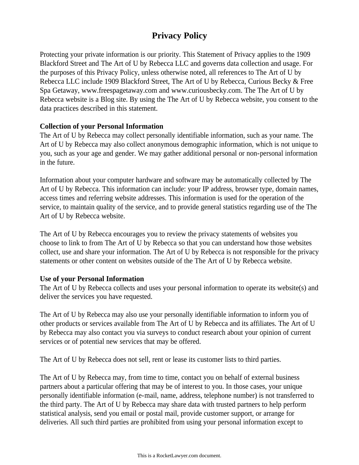# **Privacy Policy**

Protecting your private information is our priority. This Statement of Privacy applies to the 1909 Blackford Street and The Art of U by Rebecca LLC and governs data collection and usage. For the purposes of this Privacy Policy, unless otherwise noted, all references to The Art of U by Rebecca LLC include 1909 Blackford Street, The Art of U by Rebecca, Curious Becky & Free Spa Getaway, www.freespagetaway.com and www.curiousbecky.com. The The Art of U by Rebecca website is a Blog site. By using the The Art of U by Rebecca website, you consent to the data practices described in this statement.

## **Collection of your Personal Information**

The Art of U by Rebecca may collect personally identifiable information, such as your name. The Art of U by Rebecca may also collect anonymous demographic information, which is not unique to you, such as your age and gender. We may gather additional personal or non-personal information in the future.

Information about your computer hardware and software may be automatically collected by The Art of U by Rebecca. This information can include: your IP address, browser type, domain names, access times and referring website addresses. This information is used for the operation of the service, to maintain quality of the service, and to provide general statistics regarding use of the The Art of U by Rebecca website.

The Art of U by Rebecca encourages you to review the privacy statements of websites you choose to link to from The Art of U by Rebecca so that you can understand how those websites collect, use and share your information. The Art of U by Rebecca is not responsible for the privacy statements or other content on websites outside of the The Art of U by Rebecca website.

#### **Use of your Personal Information**

The Art of U by Rebecca collects and uses your personal information to operate its website(s) and deliver the services you have requested.

The Art of U by Rebecca may also use your personally identifiable information to inform you of other products or services available from The Art of U by Rebecca and its affiliates. The Art of U by Rebecca may also contact you via surveys to conduct research about your opinion of current services or of potential new services that may be offered.

The Art of U by Rebecca does not sell, rent or lease its customer lists to third parties.

The Art of U by Rebecca may, from time to time, contact you on behalf of external business partners about a particular offering that may be of interest to you. In those cases, your unique personally identifiable information (e-mail, name, address, telephone number) is not transferred to the third party. The Art of U by Rebecca may share data with trusted partners to help perform statistical analysis, send you email or postal mail, provide customer support, or arrange for deliveries. All such third parties are prohibited from using your personal information except to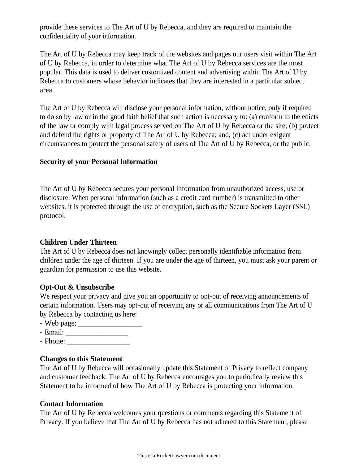provide these services to The Art of U by Rebecca, and they are required to maintain the confidentiality of your information.

The Art of U by Rebecca may keep track of the websites and pages our users visit within The Art of U by Rebecca, in order to determine what The Art of U by Rebecca services are the most popular. This data is used to deliver customized content and advertising within The Art of U by Rebecca to customers whose behavior indicates that they are interested in a particular subject area.

The Art of U by Rebecca will disclose your personal information, without notice, only if required to do so by law or in the good faith belief that such action is necessary to: (a) conform to the edicts of the law or comply with legal process served on The Art of U by Rebecca or the site; (b) protect and defend the rights or property of The Art of U by Rebecca; and, (c) act under exigent circumstances to protect the personal safety of users of The Art of U by Rebecca, or the public.

## **Security of your Personal Information**

The Art of U by Rebecca secures your personal information from unauthorized access, use or disclosure. When personal information (such as a credit card number) is transmitted to other websites, it is protected through the use of encryption, such as the Secure Sockets Layer (SSL) protocol.

#### **Children Under Thirteen**

The Art of U by Rebecca does not knowingly collect personally identifiable information from children under the age of thirteen. If you are under the age of thirteen, you must ask your parent or guardian for permission to use this website.

#### **Opt-Out & Unsubscribe**

We respect your privacy and give you an opportunity to opt-out of receiving announcements of certain information. Users may opt-out of receiving any or all communications from The Art of U by Rebecca by contacting us here:

- Web page: \_\_\_\_\_\_\_\_\_\_\_\_\_\_\_\_\_
- Email: \_\_\_\_\_\_\_\_\_\_\_\_\_\_\_\_\_
- Phone: \_\_\_\_\_\_\_\_\_\_\_\_\_\_\_\_\_

# **Changes to this Statement**

The Art of U by Rebecca will occasionally update this Statement of Privacy to reflect company and customer feedback. The Art of U by Rebecca encourages you to periodically review this Statement to be informed of how The Art of U by Rebecca is protecting your information.

# **Contact Information**

The Art of U by Rebecca welcomes your questions or comments regarding this Statement of Privacy. If you believe that The Art of U by Rebecca has not adhered to this Statement, please